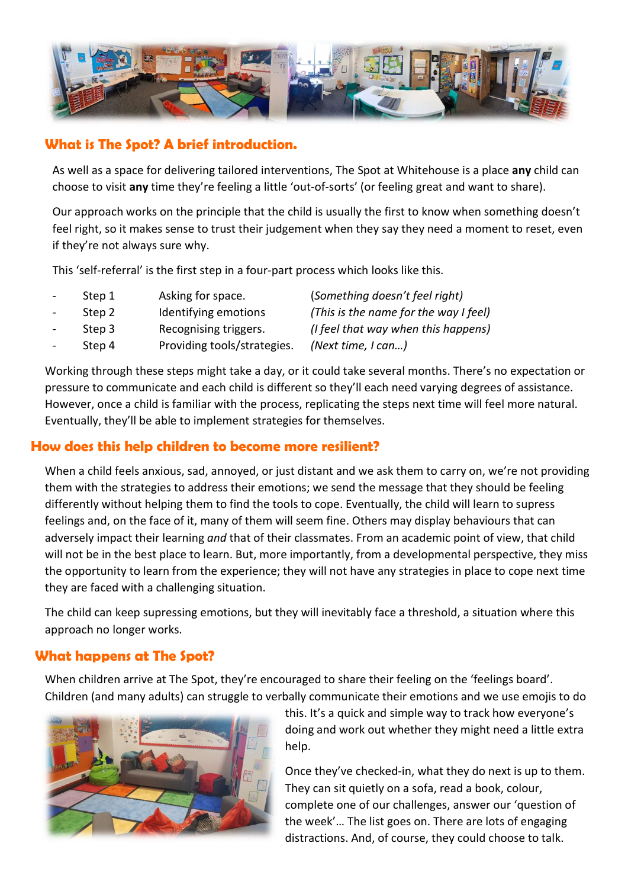

### What is The Spot? A brief introduction.

As well as a space for delivering tailored interventions, The Spot at Whitehouse is a place any child can choose to visit any time they're feeling a little 'out-of-sorts' (or feeling great and want to share).

Our approach works on the principle that the child is usually the first to know when something doesn't feel right, so it makes sense to trust their judgement when they say they need a moment to reset, even if they're not always sure why.

This 'self-referral' is the first step in a four-part process which looks like this.

| Step 1 | Asking for space.           | (Something doesn't feel right)        |
|--------|-----------------------------|---------------------------------------|
| Step 2 | Identifying emotions        | (This is the name for the way I feel) |
| Step 3 | Recognising triggers.       | (I feel that way when this happens)   |
| Step 4 | Providing tools/strategies. | (Next time, I can)                    |
|        |                             |                                       |

Working through these steps might take a day, or it could take several months. There's no expectation or pressure to communicate and each child is different so they'll each need varying degrees of assistance. However, once a child is familiar with the process, replicating the steps next time will feel more natural. Eventually, they'll be able to implement strategies for themselves.

### How does this help children to become more resilient?

When a child feels anxious, sad, annoyed, or just distant and we ask them to carry on, we're not providing them with the strategies to address their emotions; we send the message that they should be feeling differently without helping them to find the tools to cope. Eventually, the child will learn to supress feelings and, on the face of it, many of them will seem fine. Others may display behaviours that can adversely impact their learning and that of their classmates. From an academic point of view, that child will not be in the best place to learn. But, more importantly, from a developmental perspective, they miss the opportunity to learn from the experience; they will not have any strategies in place to cope next time they are faced with a challenging situation.

The child can keep supressing emotions, but they will inevitably face a threshold, a situation where this approach no longer works.

### What happens at The Spot?

When children arrive at The Spot, they're encouraged to share their feeling on the 'feelings board'. Children (and many adults) can struggle to verbally communicate their emotions and we use emojis to do



this. It's a quick and simple way to track how everyone's doing and work out whether they might need a little extra help.

Once they've checked-in, what they do next is up to them. They can sit quietly on a sofa, read a book, colour, complete one of our challenges, answer our 'question of the week'… The list goes on. There are lots of engaging distractions. And, of course, they could choose to talk.